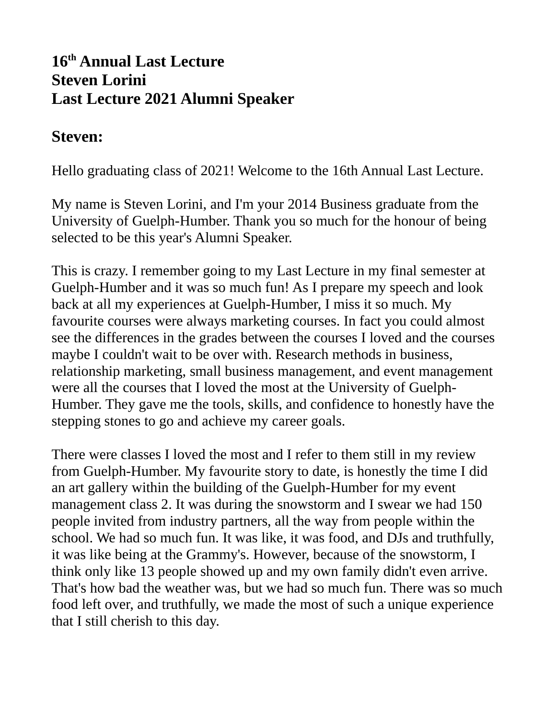## **16th Annual Last Lecture Steven Lorini Last Lecture 2021 Alumni Speaker**

## **Steven:**

Hello graduating class of 2021! Welcome to the 16th Annual Last Lecture.

My name is Steven Lorini, and I'm your 2014 Business graduate from the University of Guelph-Humber. Thank you so much for the honour of being selected to be this year's Alumni Speaker.

This is crazy. I remember going to my Last Lecture in my final semester at Guelph-Humber and it was so much fun! As I prepare my speech and look back at all my experiences at Guelph-Humber, I miss it so much. My favourite courses were always marketing courses. In fact you could almost see the differences in the grades between the courses I loved and the courses maybe I couldn't wait to be over with. Research methods in business, relationship marketing, small business management, and event management were all the courses that I loved the most at the University of Guelph-Humber. They gave me the tools, skills, and confidence to honestly have the stepping stones to go and achieve my career goals.

There were classes I loved the most and I refer to them still in my review from Guelph-Humber. My favourite story to date, is honestly the time I did an art gallery within the building of the Guelph-Humber for my event management class 2. It was during the snowstorm and I swear we had 150 people invited from industry partners, all the way from people within the school. We had so much fun. It was like, it was food, and DJs and truthfully, it was like being at the Grammy's. However, because of the snowstorm, I think only like 13 people showed up and my own family didn't even arrive. That's how bad the weather was, but we had so much fun. There was so much food left over, and truthfully, we made the most of such a unique experience that I still cherish to this day.